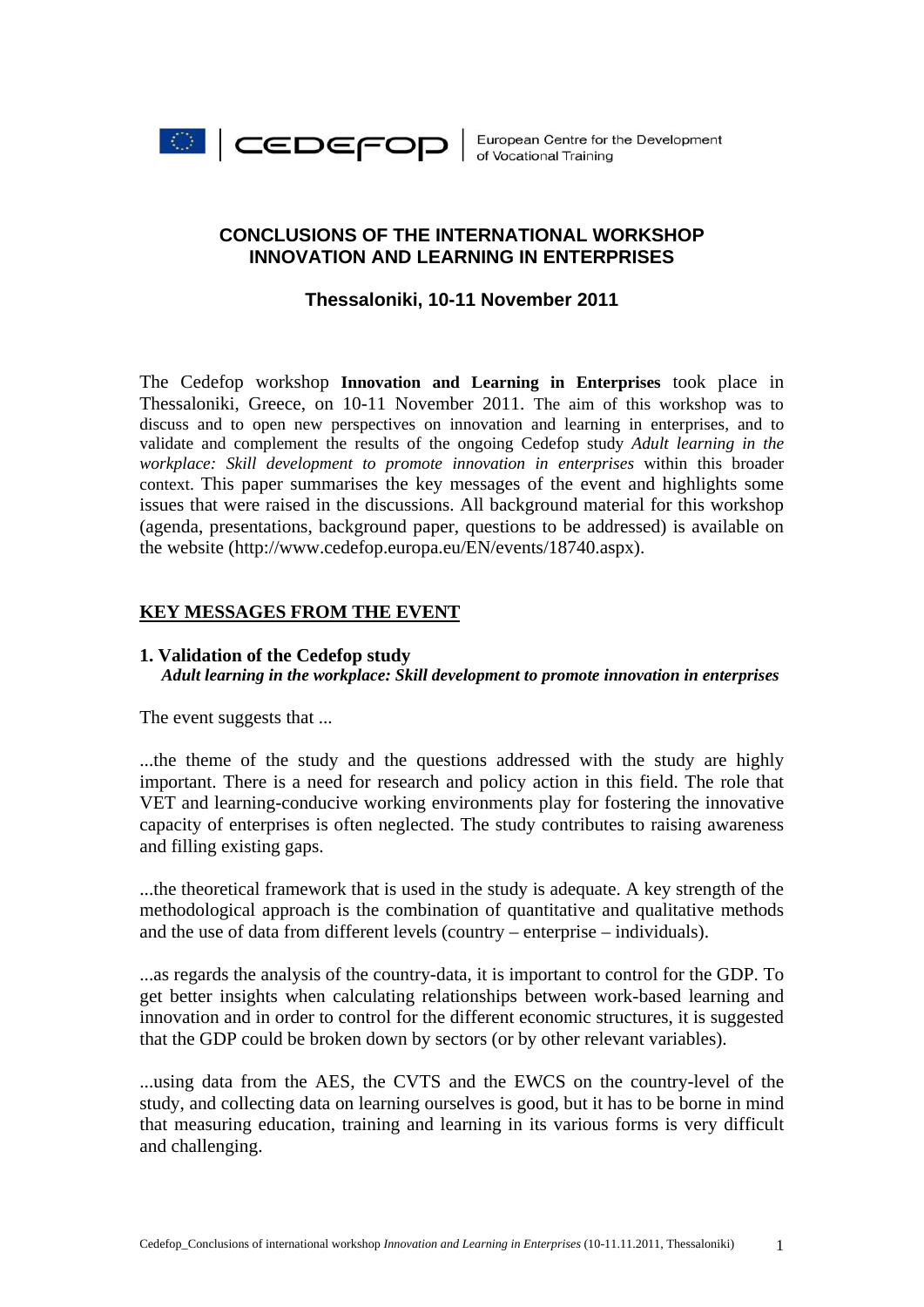

# **CONCLUSIONS OF THE INTERNATIONAL WORKSHOP INNOVATION AND LEARNING IN ENTERPRISES**

## **Thessaloniki, 10-11 November 2011**

The Cedefop workshop **Innovation and Learning in Enterprises** took place in Thessaloniki, Greece, on 10-11 November 2011. The aim of this workshop was to discuss and to open new perspectives on innovation and learning in enterprises, and to validate and complement the results of the ongoing Cedefop study *Adult learning in the workplace: Skill development to promote innovation in enterprises* within this broader context. This paper summarises the key messages of the event and highlights some issues that were raised in the discussions. All background material for this workshop (agenda, presentations, background paper, questions to be addressed) is available on the website (http://www.cedefop.europa.eu/EN/events/18740.aspx).

# **KEY MESSAGES FROM THE EVENT**

### **1. Validation of the Cedefop study** *Adult learning in the workplace: Skill development to promote innovation in enterprises*

The event suggests that ...

...the theme of the study and the questions addressed with the study are highly important. There is a need for research and policy action in this field. The role that VET and learning-conducive working environments play for fostering the innovative capacity of enterprises is often neglected. The study contributes to raising awareness and filling existing gaps.

...the theoretical framework that is used in the study is adequate. A key strength of the methodological approach is the combination of quantitative and qualitative methods and the use of data from different levels (country – enterprise – individuals).

...as regards the analysis of the country-data, it is important to control for the GDP. To get better insights when calculating relationships between work-based learning and innovation and in order to control for the different economic structures, it is suggested that the GDP could be broken down by sectors (or by other relevant variables).

...using data from the AES, the CVTS and the EWCS on the country-level of the study, and collecting data on learning ourselves is good, but it has to be borne in mind that measuring education, training and learning in its various forms is very difficult and challenging.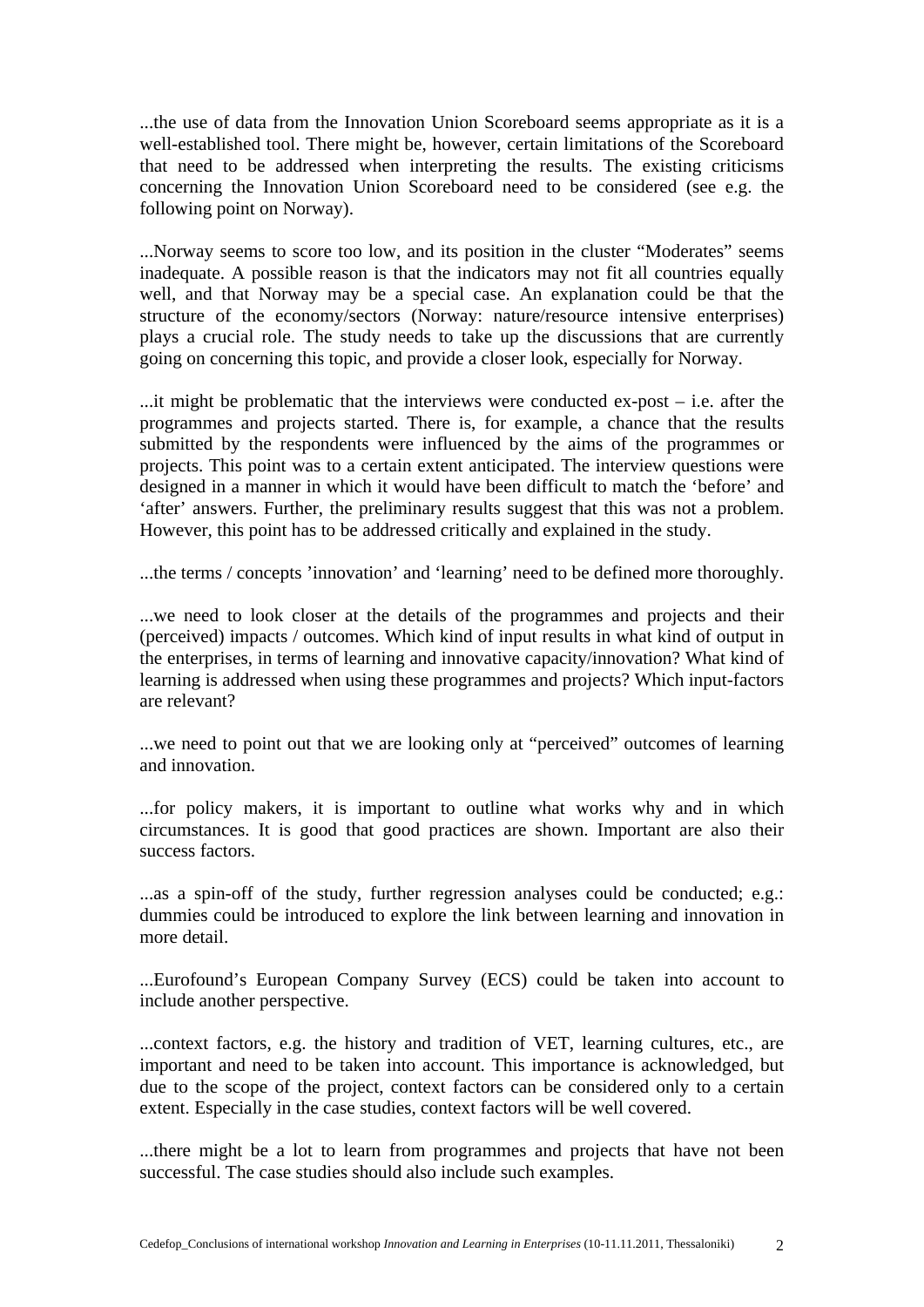...the use of data from the Innovation Union Scoreboard seems appropriate as it is a well-established tool. There might be, however, certain limitations of the Scoreboard that need to be addressed when interpreting the results. The existing criticisms concerning the Innovation Union Scoreboard need to be considered (see e.g. the following point on Norway).

...Norway seems to score too low, and its position in the cluster "Moderates" seems inadequate. A possible reason is that the indicators may not fit all countries equally well, and that Norway may be a special case. An explanation could be that the structure of the economy/sectors (Norway: nature/resource intensive enterprises) plays a crucial role. The study needs to take up the discussions that are currently going on concerning this topic, and provide a closer look, especially for Norway.

...it might be problematic that the interviews were conducted ex-post – i.e. after the programmes and projects started. There is, for example, a chance that the results submitted by the respondents were influenced by the aims of the programmes or projects. This point was to a certain extent anticipated. The interview questions were designed in a manner in which it would have been difficult to match the 'before' and 'after' answers. Further, the preliminary results suggest that this was not a problem. However, this point has to be addressed critically and explained in the study.

...the terms / concepts 'innovation' and 'learning' need to be defined more thoroughly.

...we need to look closer at the details of the programmes and projects and their (perceived) impacts / outcomes. Which kind of input results in what kind of output in the enterprises, in terms of learning and innovative capacity/innovation? What kind of learning is addressed when using these programmes and projects? Which input-factors are relevant?

...we need to point out that we are looking only at "perceived" outcomes of learning and innovation.

...for policy makers, it is important to outline what works why and in which circumstances. It is good that good practices are shown. Important are also their success factors.

...as a spin-off of the study, further regression analyses could be conducted; e.g.: dummies could be introduced to explore the link between learning and innovation in more detail.

...Eurofound's European Company Survey (ECS) could be taken into account to include another perspective.

...context factors, e.g. the history and tradition of VET, learning cultures, etc., are important and need to be taken into account. This importance is acknowledged, but due to the scope of the project, context factors can be considered only to a certain extent. Especially in the case studies, context factors will be well covered.

...there might be a lot to learn from programmes and projects that have not been successful. The case studies should also include such examples.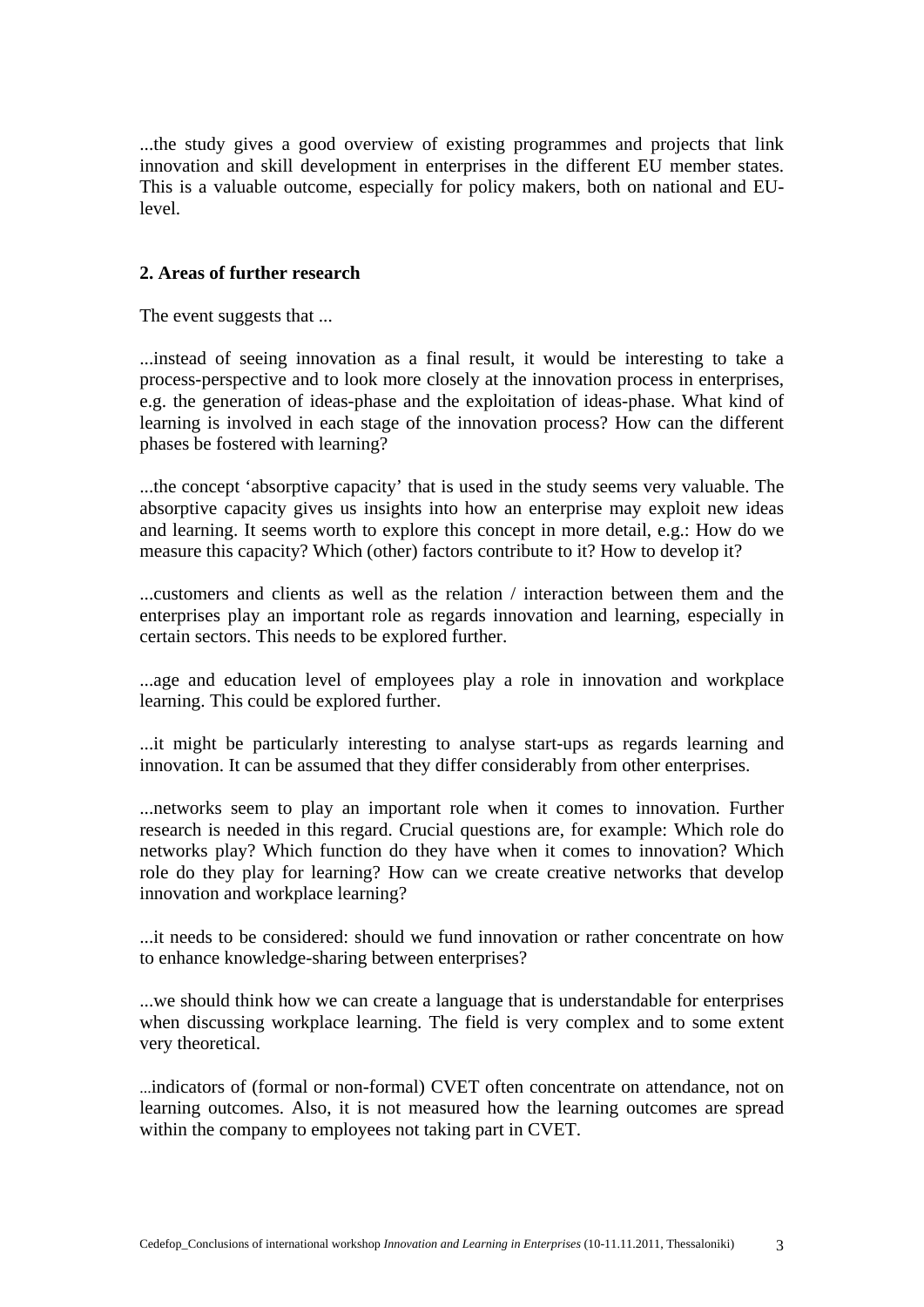...the study gives a good overview of existing programmes and projects that link innovation and skill development in enterprises in the different EU member states. This is a valuable outcome, especially for policy makers, both on national and EUlevel.

### **2. Areas of further research**

The event suggests that ...

...instead of seeing innovation as a final result, it would be interesting to take a process-perspective and to look more closely at the innovation process in enterprises, e.g. the generation of ideas-phase and the exploitation of ideas-phase. What kind of learning is involved in each stage of the innovation process? How can the different phases be fostered with learning?

...the concept 'absorptive capacity' that is used in the study seems very valuable. The absorptive capacity gives us insights into how an enterprise may exploit new ideas and learning. It seems worth to explore this concept in more detail, e.g.: How do we measure this capacity? Which (other) factors contribute to it? How to develop it?

...customers and clients as well as the relation / interaction between them and the enterprises play an important role as regards innovation and learning, especially in certain sectors. This needs to be explored further.

...age and education level of employees play a role in innovation and workplace learning. This could be explored further.

...it might be particularly interesting to analyse start-ups as regards learning and innovation. It can be assumed that they differ considerably from other enterprises.

...networks seem to play an important role when it comes to innovation. Further research is needed in this regard. Crucial questions are, for example: Which role do networks play? Which function do they have when it comes to innovation? Which role do they play for learning? How can we create creative networks that develop innovation and workplace learning?

...it needs to be considered: should we fund innovation or rather concentrate on how to enhance knowledge-sharing between enterprises?

...we should think how we can create a language that is understandable for enterprises when discussing workplace learning. The field is very complex and to some extent very theoretical.

...indicators of (formal or non-formal) CVET often concentrate on attendance, not on learning outcomes. Also, it is not measured how the learning outcomes are spread within the company to employees not taking part in CVET.